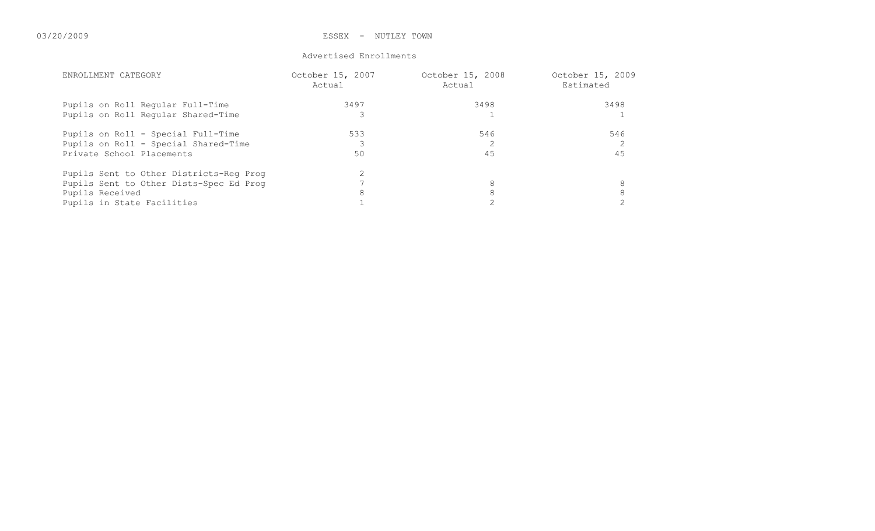#### Advertised Enrollments

| ENROLLMENT CATEGORY                     | October 15, 2007<br>Actual | October 15, 2008<br>Actual | October 15, 2009<br>Estimated |
|-----------------------------------------|----------------------------|----------------------------|-------------------------------|
| Pupils on Roll Regular Full-Time        | 3497                       | 3498                       | 3498                          |
| Pupils on Roll Regular Shared-Time      |                            |                            |                               |
| Pupils on Roll - Special Full-Time      | 533                        | 546                        | 546                           |
| Pupils on Roll - Special Shared-Time    |                            |                            |                               |
| Private School Placements               | 50                         | 45                         | 45                            |
| Pupils Sent to Other Districts-Req Proq |                            |                            |                               |
| Pupils Sent to Other Dists-Spec Ed Prog |                            | 8                          |                               |
| Pupils Received                         |                            | 8                          | 8                             |
| Pupils in State Facilities              |                            |                            |                               |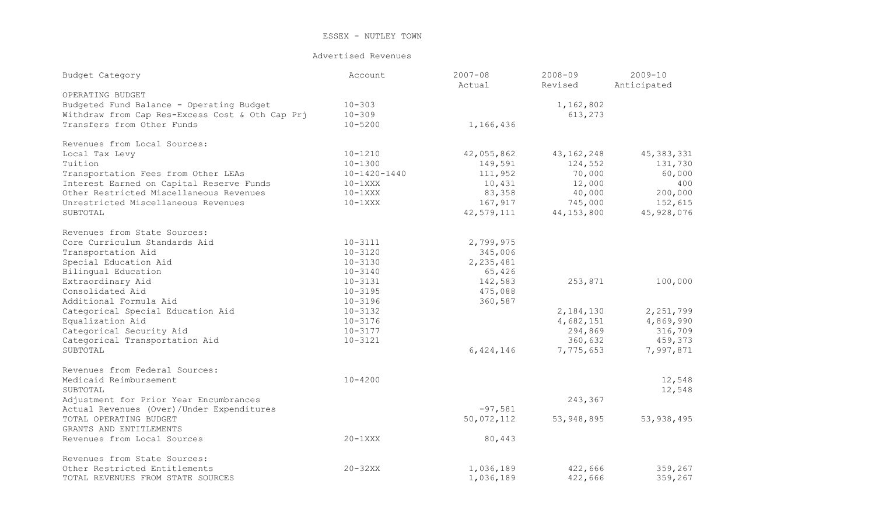#### Advertised Revenues

| Budget Category                                 | Account      | $2007 - 08$<br>Actual | $2008 - 09$<br>Revised | $2009 - 10$<br>Anticipated |
|-------------------------------------------------|--------------|-----------------------|------------------------|----------------------------|
| OPERATING BUDGET                                |              |                       |                        |                            |
| Budgeted Fund Balance - Operating Budget        | $10 - 303$   |                       | 1,162,802              |                            |
| Withdraw from Cap Res-Excess Cost & Oth Cap Prj | $10 - 309$   |                       | 613,273                |                            |
| Transfers from Other Funds                      | $10 - 5200$  | 1,166,436             |                        |                            |
| Revenues from Local Sources:                    |              |                       |                        |                            |
| Local Tax Levy                                  | $10 - 1210$  | 42,055,862            | 43, 162, 248           | 45, 383, 331               |
| Tuition                                         | $10 - 1300$  | 149,591               | 124,552                | 131,730                    |
| Transportation Fees from Other LEAs             | 10-1420-1440 | 111,952               | 70,000                 | 60,000                     |
| Interest Earned on Capital Reserve Funds        | $10-1$ XXX   | 10,431                | 12,000                 | 400                        |
| Other Restricted Miscellaneous Revenues         | $10-1$ XXX   | 83,358                | 40,000                 | 200,000                    |
| Unrestricted Miscellaneous Revenues             | $10-1$ XXX   | 167,917               | 745,000                | 152,615                    |
| SUBTOTAL                                        |              | 42,579,111            | 44, 153, 800           | 45,928,076                 |
| Revenues from State Sources:                    |              |                       |                        |                            |
| Core Curriculum Standards Aid                   | $10 - 3111$  | 2,799,975             |                        |                            |
| Transportation Aid                              | $10 - 3120$  | 345,006               |                        |                            |
| Special Education Aid                           | $10 - 3130$  | 2, 235, 481           |                        |                            |
| Bilingual Education                             | $10 - 3140$  | 65,426                |                        |                            |
| Extraordinary Aid                               | $10 - 3131$  | 142,583               | 253,871                | 100,000                    |
| Consolidated Aid                                | $10 - 3195$  | 475,088               |                        |                            |
| Additional Formula Aid                          | $10 - 3196$  | 360,587               |                        |                            |
| Categorical Special Education Aid               | $10 - 3132$  |                       | 2,184,130              | 2, 251, 799                |
| Equalization Aid                                | $10 - 3176$  |                       | 4,682,151              | 4,869,990                  |
| Categorical Security Aid                        | $10 - 3177$  |                       | 294,869                | 316,709                    |
| Categorical Transportation Aid                  | $10 - 3121$  |                       | 360,632                | 459,373                    |
| SUBTOTAL                                        |              | 6, 424, 146           | 7,775,653              | 7,997,871                  |
| Revenues from Federal Sources:                  |              |                       |                        |                            |
| Medicaid Reimbursement                          | $10 - 4200$  |                       |                        | 12,548                     |
| SUBTOTAL                                        |              |                       |                        | 12,548                     |
| Adjustment for Prior Year Encumbrances          |              |                       | 243,367                |                            |
| Actual Revenues (Over)/Under Expenditures       |              | $-97,581$             |                        |                            |
| TOTAL OPERATING BUDGET                          |              | 50,072,112            | 53, 948, 895           | 53, 938, 495               |
| GRANTS AND ENTITLEMENTS                         |              |                       |                        |                            |
| Revenues from Local Sources                     | $20-1XXX$    | 80,443                |                        |                            |
| Revenues from State Sources:                    |              |                       |                        |                            |
| Other Restricted Entitlements                   | $20-32XX$    | 1,036,189             | 422,666                | 359,267                    |
| TOTAL REVENUES FROM STATE SOURCES               |              | 1,036,189             | 422,666                | 359,267                    |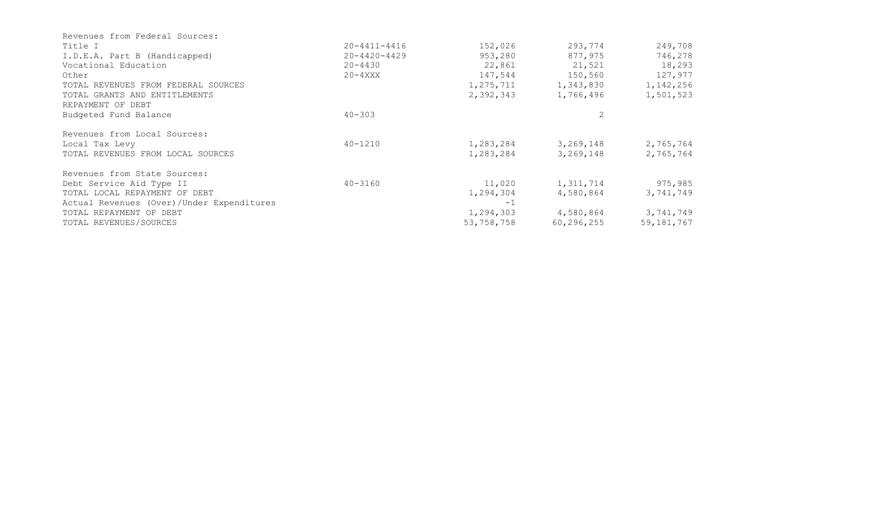| Title I                                   | $20 - 4411 - 4416$ | 152,026    | 293,774      | 249,708      |
|-------------------------------------------|--------------------|------------|--------------|--------------|
| I.D.E.A. Part B (Handicapped)             | $20 - 4420 - 4429$ | 953,280    | 877,975      | 746,278      |
| Vocational Education                      | 20-4430            | 22,861     | 21,521       | 18,293       |
| Other                                     | $20 - 4$ XXX       | 147,544    | 150,560      | 127,977      |
| TOTAL REVENUES FROM FEDERAL SOURCES       |                    | 1,275,711  | 1,343,830    | 1, 142, 256  |
| TOTAL GRANTS AND ENTITLEMENTS             |                    | 2,392,343  | 1,766,496    | 1,501,523    |
| REPAYMENT OF DEBT                         |                    |            |              |              |
| Budgeted Fund Balance                     | $40 - 303$         |            |              |              |
| Revenues from Local Sources:              |                    |            |              |              |
| Local Tax Levy                            | 40-1210            | 1,283,284  | 3,269,148    | 2,765,764    |
| TOTAL REVENUES FROM LOCAL SOURCES         |                    | 1,283,284  | 3,269,148    | 2,765,764    |
| Revenues from State Sources:              |                    |            |              |              |
| Debt Service Aid Type II                  | $40 - 3160$        | 11,020     | 1,311,714    | 975,985      |
| TOTAL LOCAL REPAYMENT OF DEBT             |                    | 1,294,304  | 4,580,864    | 3,741,749    |
| Actual Revenues (Over)/Under Expenditures |                    | $-1$       |              |              |
| TOTAL REPAYMENT OF DEBT                   |                    | 1,294,303  | 4,580,864    | 3,741,749    |
| TOTAL REVENUES/SOURCES                    |                    | 53,758,758 | 60, 296, 255 | 59, 181, 767 |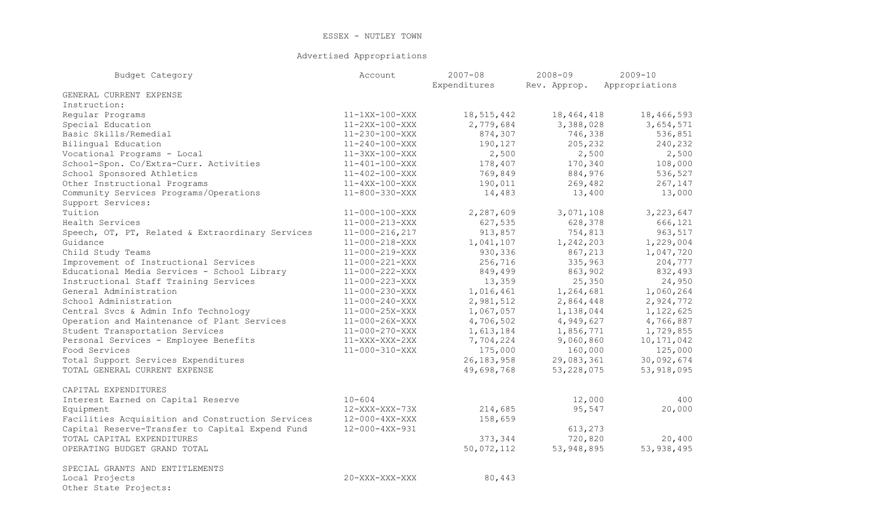### Advertised Appropriations

| Budget Category                                  | Account                | $2007 - 08$<br>Expenditures | $2008 - 09$<br>Rev. Approp. | $2009 - 10$<br>Appropriations |
|--------------------------------------------------|------------------------|-----------------------------|-----------------------------|-------------------------------|
| GENERAL CURRENT EXPENSE                          |                        |                             |                             |                               |
| Instruction:                                     |                        |                             |                             |                               |
| Regular Programs                                 | 11-1XX-100-XXX         | 18,515,442                  | 18, 464, 418                | 18,466,593                    |
| Special Education                                | $11-2XX-100-XXX$       | 2,779,684                   | 3,388,028                   | 3,654,571                     |
| Basic Skills/Remedial                            | 11-230-100-XXX         | 874,307                     | 746,338                     | 536,851                       |
| Bilingual Education                              | $11 - 240 - 100 - XXX$ | 190,127                     | 205,232                     | 240,232                       |
| Vocational Programs - Local                      | $11-3XX-100-XXX$       | 2,500                       | 2,500                       | 2,500                         |
| School-Spon. Co/Extra-Curr. Activities           | $11 - 401 - 100 - XXX$ | 178,407                     | 170,340                     | 108,000                       |
| School Sponsored Athletics                       | $11 - 402 - 100 - XXX$ | 769,849                     | 884,976                     | 536,527                       |
| Other Instructional Programs                     | $11-4XX-100-XXX$       | 190,011                     | 269,482                     | 267,147                       |
| Community Services Programs/Operations           | $11 - 800 - 330 - XXX$ | 14,483                      | 13,400                      | 13,000                        |
| Support Services:                                |                        |                             |                             |                               |
| Tuition                                          | $11 - 000 - 100 - XXX$ | 2,287,609                   | 3,071,108                   | 3, 223, 647                   |
| Health Services                                  | $11 - 000 - 213 - XXX$ | 627,535                     | 628,378                     | 666,121                       |
| Speech, OT, PT, Related & Extraordinary Services | $11 - 000 - 216, 217$  | 913,857                     | 754,813                     | 963,517                       |
| Guidance                                         | $11 - 000 - 218 - XXX$ | 1,041,107                   | 1,242,203                   | 1,229,004                     |
| Child Study Teams                                | $11 - 000 - 219 - XXX$ | 930,336                     | 867,213                     | 1,047,720                     |
| Improvement of Instructional Services            | $11 - 000 - 221 - XXX$ | 256,716                     | 335,963                     | 204,777                       |
| Educational Media Services - School Library      | 11-000-222-XXX         | 849,499                     | 863,902                     | 832,493                       |
| Instructional Staff Training Services            | 11-000-223-XXX         | 13,359                      | 25,350                      | 24,950                        |
| General Administration                           | $11 - 000 - 230 - XXX$ | 1,016,461                   | 1,264,681                   | 1,060,264                     |
| School Administration                            | $11 - 000 - 240 - XXX$ | 2,981,512                   | 2,864,448                   | 2,924,772                     |
| Central Svcs & Admin Info Technology             | $11 - 000 - 25X - XXX$ | 1,067,057                   | 1,138,044                   | 1,122,625                     |
| Operation and Maintenance of Plant Services      | $11 - 000 - 26X - XXX$ | 4,706,502                   | 4,949,627                   | 4,766,887                     |
| Student Transportation Services                  | 11-000-270-XXX         | 1,613,184                   | 1,856,771                   | 1,729,855                     |
| Personal Services - Employee Benefits            | 11-XXX-XXX-2XX         | 7,704,224                   | 9,060,860                   | 10, 171, 042                  |
| Food Services                                    | 11-000-310-XXX         | 175,000                     | 160,000                     | 125,000                       |
| Total Support Services Expenditures              |                        | 26, 183, 958                | 29,083,361                  | 30,092,674                    |
| TOTAL GENERAL CURRENT EXPENSE                    |                        | 49,698,768                  | 53, 228, 075                | 53, 918, 095                  |
| CAPITAL EXPENDITURES                             |                        |                             |                             |                               |
| Interest Earned on Capital Reserve               | $10 - 604$             |                             | 12,000                      | 400                           |
| Equipment                                        | 12-XXX-XXX-73X         | 214,685                     | 95,547                      | 20,000                        |
| Facilities Acquisition and Construction Services | 12-000-4XX-XXX         | 158,659                     |                             |                               |
| Capital Reserve-Transfer to Capital Expend Fund  | 12-000-4XX-931         |                             | 613,273                     |                               |
| TOTAL CAPITAL EXPENDITURES                       |                        | 373,344                     | 720,820                     | 20,400                        |
| OPERATING BUDGET GRAND TOTAL                     |                        | 50,072,112                  | 53, 948, 895                | 53, 938, 495                  |
| SPECIAL GRANTS AND ENTITLEMENTS                  |                        |                             |                             |                               |
| Local Projects<br>Other State Projects:          | 20-XXX-XXX-XXX         | 80,443                      |                             |                               |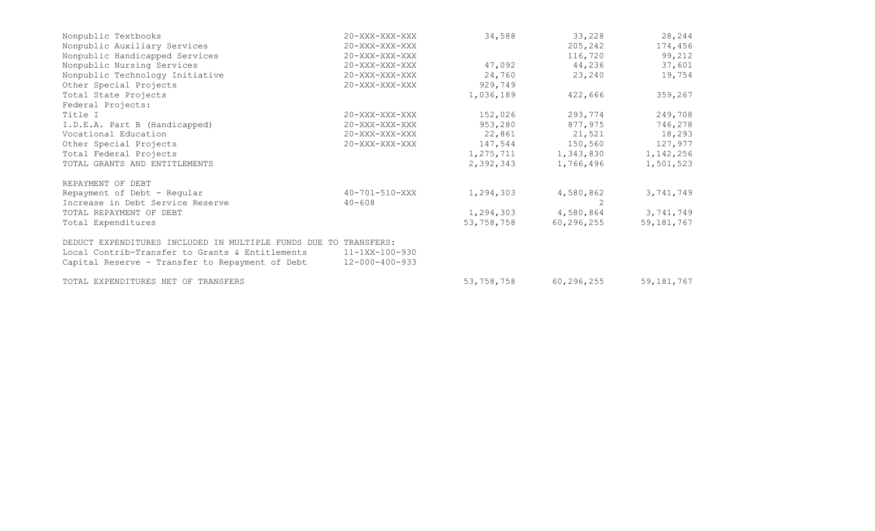| Nonpublic Textbooks                                              | 20-XXX-XXX-XXX         | 34,588     | 33,228       | 28,244       |
|------------------------------------------------------------------|------------------------|------------|--------------|--------------|
| Nonpublic Auxiliary Services                                     | 20-XXX-XXX-XXX         |            | 205,242      | 174,456      |
| Nonpublic Handicapped Services                                   | 20-XXX-XXX-XXX         |            | 116,720      | 99,212       |
| Nonpublic Nursing Services                                       | 20-XXX-XXX-XXX         | 47,092     | 44,236       | 37,601       |
| Nonpublic Technology Initiative                                  | 20-XXX-XXX-XXX         | 24,760     | 23,240       | 19,754       |
| Other Special Projects                                           | 20-XXX-XXX-XXX         | 929,749    |              |              |
| Total State Projects                                             |                        | 1,036,189  | 422,666      | 359,267      |
| Federal Projects:                                                |                        |            |              |              |
| Title I                                                          | 20-XXX-XXX-XXX         | 152,026    | 293,774      | 249,708      |
| I.D.E.A. Part B (Handicapped)                                    | 20-XXX-XXX-XXX         | 953,280    | 877,975      | 746,278      |
| Vocational Education                                             | 20-XXX-XXX-XXX         | 22,861     | 21,521       | 18,293       |
| Other Special Projects                                           | 20-XXX-XXX-XXX         | 147,544    | 150,560      | 127,977      |
| Total Federal Projects                                           |                        | 1,275,711  | 1,343,830    | 1, 142, 256  |
| TOTAL GRANTS AND ENTITLEMENTS                                    |                        | 2,392,343  | 1,766,496    | 1,501,523    |
| REPAYMENT OF DEBT                                                |                        |            |              |              |
| Repayment of Debt - Regular                                      | 40-701-510-XXX         | 1,294,303  | 4,580,862    | 3,741,749    |
| Increase in Debt Service Reserve                                 | $40 - 608$             |            | 2            |              |
| TOTAL REPAYMENT OF DEBT                                          |                        | 1,294,303  | 4,580,864    | 3,741,749    |
| Total Expenditures                                               |                        | 53,758,758 | 60, 296, 255 | 59, 181, 767 |
| DEDUCT EXPENDITURES INCLUDED IN MULTIPLE FUNDS DUE TO TRANSFERS: |                        |            |              |              |
| Local Contrib-Transfer to Grants & Entitlements                  | 11-1XX-100-930         |            |              |              |
| Capital Reserve - Transfer to Repayment of Debt                  | $12 - 000 - 400 - 933$ |            |              |              |
| TOTAL EXPENDITURES NET OF TRANSFERS                              |                        | 53,758,758 | 60, 296, 255 | 59, 181, 767 |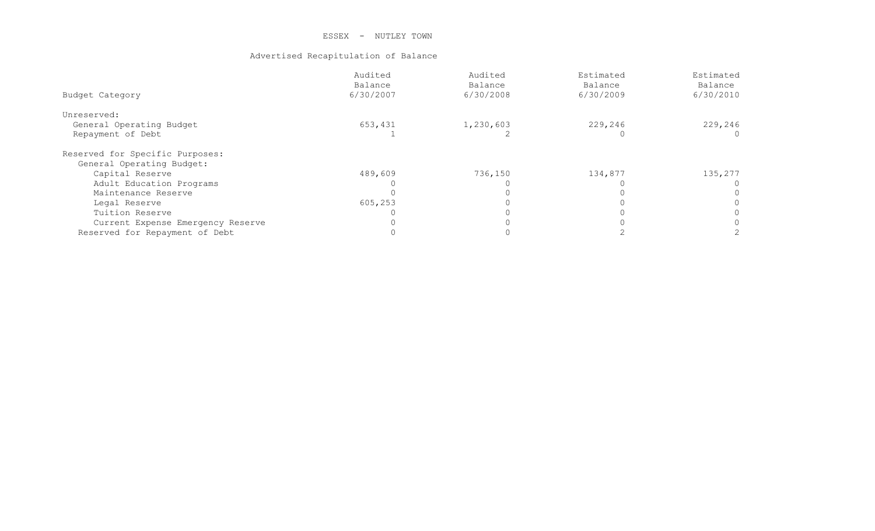### Advertised Recapitulation of Balance

|                                   | Audited   | Audited   | Estimated | Estimated |
|-----------------------------------|-----------|-----------|-----------|-----------|
|                                   | Balance   | Balance   | Balance   | Balance   |
| Budget Category                   | 6/30/2007 | 6/30/2008 | 6/30/2009 | 6/30/2010 |
| Unreserved:                       |           |           |           |           |
| General Operating Budget          | 653,431   | 1,230,603 | 229,246   | 229,246   |
| Repayment of Debt                 |           |           |           |           |
| Reserved for Specific Purposes:   |           |           |           |           |
| General Operating Budget:         |           |           |           |           |
| Capital Reserve                   | 489,609   | 736,150   | 134,877   | 135,277   |
| Adult Education Programs          |           |           |           |           |
| Maintenance Reserve               |           |           |           |           |
| Legal Reserve                     | 605,253   |           |           |           |
| Tuition Reserve                   |           |           |           |           |
| Current Expense Emergency Reserve |           |           |           |           |
| Reserved for Repayment of Debt    |           |           |           |           |
|                                   |           |           |           |           |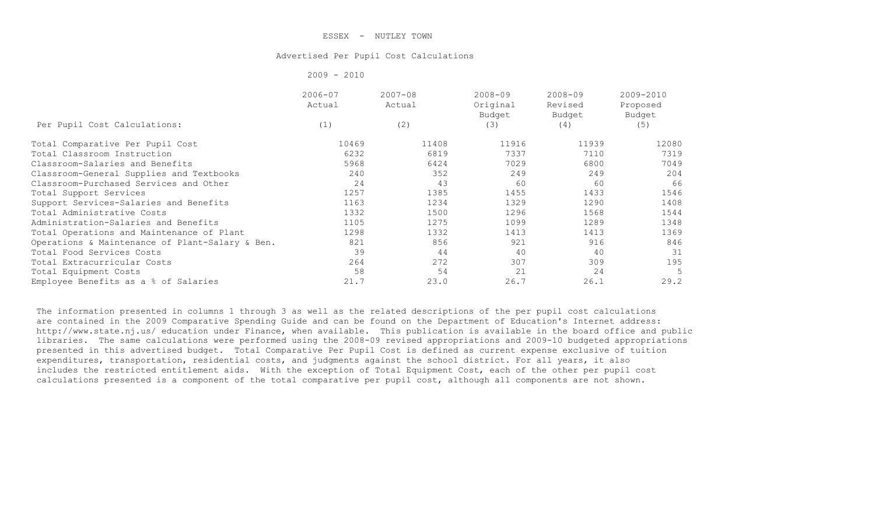#### Advertised Per Pupil Cost Calculations

|                                                 | $2009 - 2010$         |                       |                                   |                                  |                                 |
|-------------------------------------------------|-----------------------|-----------------------|-----------------------------------|----------------------------------|---------------------------------|
|                                                 | $2006 - 07$<br>Actual | $2007 - 08$<br>Actual | $2008 - 09$<br>Original<br>Budget | $2008 - 09$<br>Revised<br>Budget | 2009-2010<br>Proposed<br>Budget |
| Per Pupil Cost Calculations:                    | (1)                   | (2)                   | (3)                               | (4)                              | (5)                             |
| Total Comparative Per Pupil Cost                | 10469                 | 11408                 | 11916                             | 11939                            | 12080                           |
| Total Classroom Instruction                     | 6232                  | 6819                  | 7337                              | 7110                             | 7319                            |
| Classroom-Salaries and Benefits                 | 5968                  | 6424                  | 7029                              | 6800                             | 7049                            |
| Classroom-General Supplies and Textbooks        | 240                   | 352                   | 249                               | 249                              | 204                             |
| Classroom-Purchased Services and Other          | 24                    | 43                    | 60                                | 60                               | 66                              |
| Total Support Services                          | 1257                  | 1385                  | 1455                              | 1433                             | 1546                            |
| Support Services-Salaries and Benefits          | 1163                  | 1234                  | 1329                              | 1290                             | 1408                            |
| Total Administrative Costs                      | 1332                  | 1500                  | 1296                              | 1568                             | 1544                            |
| Administration-Salaries and Benefits            | 1105                  | 1275                  | 1099                              | 1289                             | 1348                            |
| Total Operations and Maintenance of Plant       | 1298                  | 1332                  | 1413                              | 1413                             | 1369                            |
| Operations & Maintenance of Plant-Salary & Ben. | 821                   | 856                   | 921                               | 916                              | 846                             |
| Total Food Services Costs                       | 39                    | 44                    | 40                                | 40                               | 31                              |
| Total Extracurricular Costs                     | 264                   | 272                   | 307                               | 309                              | 195                             |
| Total Equipment Costs                           | 58                    | 54                    | 21                                | 24                               | 5                               |
| Employee Benefits as a % of Salaries            | 21.7                  | 23.0                  | 26.7                              | 26.1                             | 29.2                            |

The information presented in columns 1 through 3 as well as the related descriptions of the per pupil cost calculations are contained in the 2009 Comparative Spending Guide and can be found on the Department of Education's Internet address: http://www.state.nj.us/ education under Finance, when available. This publication is available in the board office and public libraries. The same calculations were performed using the 2008-09 revised appropriations and 2009-10 budgeted appropriations presented in this advertised budget. Total Comparative Per Pupil Cost is defined as current expense exclusive of tuition expenditures, transportation, residential costs, and judgments against the school district. For all years, it also includes the restricted entitlement aids. With the exception of Total Equipment Cost, each of the other per pupil cost calculations presented is a component of the total comparative per pupil cost, although all components are not shown.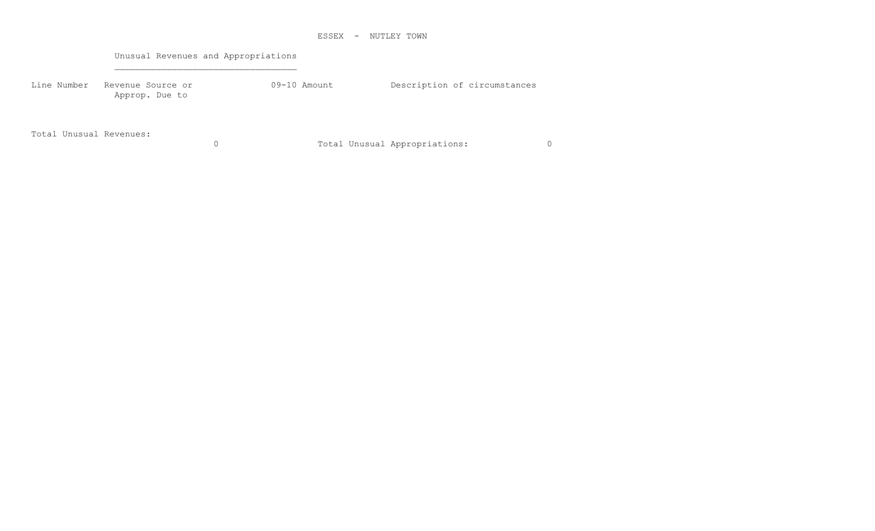Unusual Revenues and Appropriations

Line Number Revenue Source or <br>
09-10 Amount Description of circumstances Approp. Due to

Total Unusual Revenues:

0 Total Unusual Appropriations: 0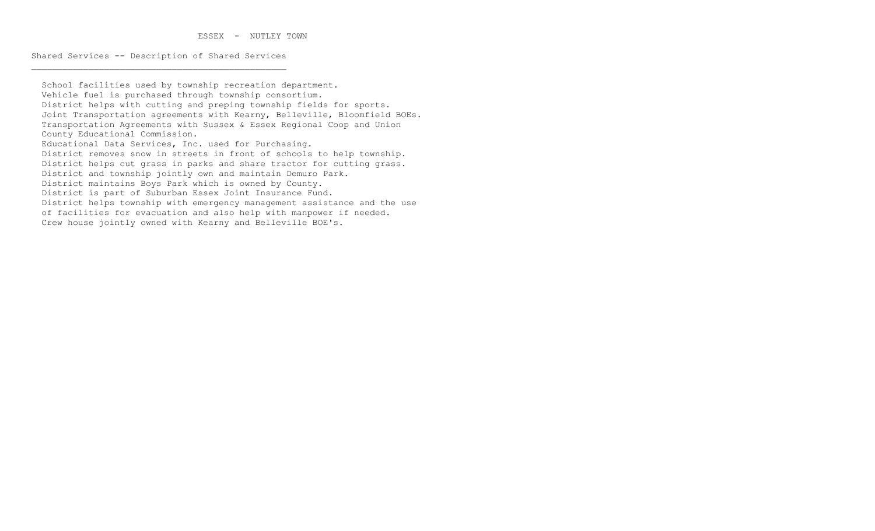Shared Services -- Description of Shared Services

 School facilities used by township recreation department. Vehicle fuel is purchased through township consortium. District helps with cutting and preping township fields for sports. Joint Transportation agreements with Kearny, Belleville, Bloomfield BOEs. Transportation Agreements with Sussex & Essex Regional Coop and Union County Educational Commission. Educational Data Services, Inc. used for Purchasing. District removes snow in streets in front of schools to help township. District helps cut grass in parks and share tractor for cutting grass. District and township jointly own and maintain Demuro Park. District maintains Boys Park which is owned by County. District is part of Suburban Essex Joint Insurance Fund. District helps township with emergency management assistance and the use of facilities for evacuation and also help with manpower if needed. Crew house jointly owned with Kearny and Belleville BOE's.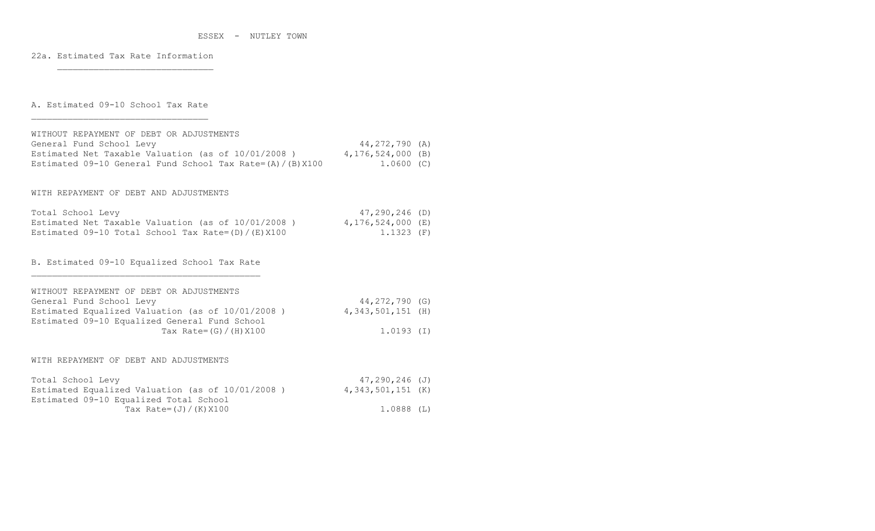22a. Estimated Tax Rate Information

\_\_\_\_\_\_\_\_\_\_\_\_\_\_\_\_\_\_\_\_\_\_\_\_\_\_\_\_\_\_

A. Estimated 09-10 School Tax Rate

| WITHOUT REPAYMENT OF DEBT OR ADJUSTMENTS<br>General Fund School Levy<br>Estimated Net Taxable Valuation (as of 10/01/2008)<br>Estimated 09-10 General Fund School Tax Rate= $(A) / (B) X100$            | $44, 272, 790$ (A)<br>4,176,524,000 (B)<br>$1.0600$ (C) |  |
|---------------------------------------------------------------------------------------------------------------------------------------------------------------------------------------------------------|---------------------------------------------------------|--|
| WITH REPAYMENT OF DEBT AND ADJUSTMENTS                                                                                                                                                                  |                                                         |  |
| Total School Levy<br>Estimated Net Taxable Valuation (as of $10/01/2008$ ) 4,176,524,000 (E)<br>Estimated 09-10 Total School Tax Rate= $(D) / (E) X 100$                                                | $47, 290, 246$ (D)<br>$1.1323$ (F)                      |  |
| B. Estimated 09-10 Equalized School Tax Rate                                                                                                                                                            |                                                         |  |
| WITHOUT REPAYMENT OF DEBT OR ADJUSTMENTS<br>General Fund School Levy<br>Estimated Equalized Valuation (as of 10/01/2008)<br>Estimated 09-10 Equalized General Fund School<br>Tax Rate= $(G) / (H) X100$ | 44,272,790 (G)<br>$4,343,501,151$ (H)<br>$1.0193$ (I)   |  |
| WITH REPAYMENT OF DEBT AND ADJUSTMENTS                                                                                                                                                                  |                                                         |  |
| Total School Levy<br>Estimated Equalized Valuation (as of 10/01/2008)<br>Estimated 09-10 Equalized Total School                                                                                         | $47, 290, 246$ (J)<br>$4,343,501,151$ (K)               |  |
| Tax Rate= $(J) / (K) X100$                                                                                                                                                                              | 1.0888(L)                                               |  |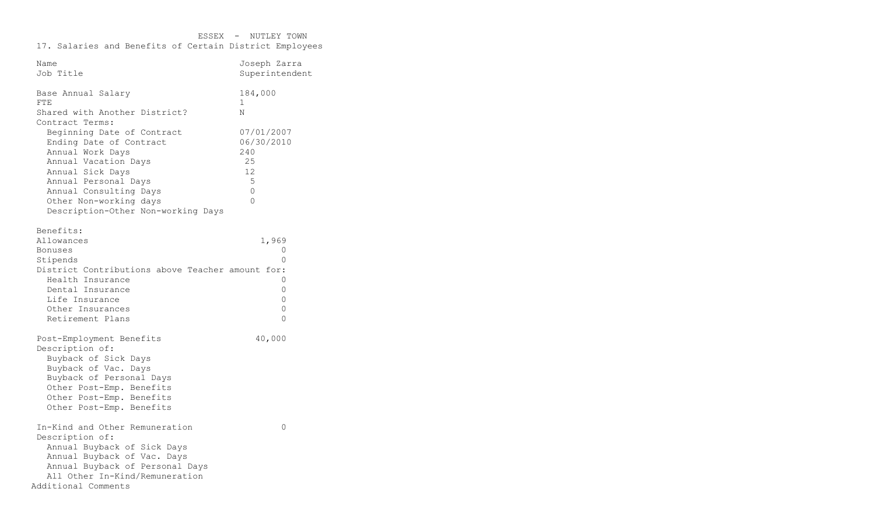| Name<br>Job Title                                                                                                                                                                                                                       | Joseph Zarra<br>Superintendent                                           |
|-----------------------------------------------------------------------------------------------------------------------------------------------------------------------------------------------------------------------------------------|--------------------------------------------------------------------------|
| Base Annual Salary<br><b>FTE</b><br>Shared with Another District?<br>Contract Terms:                                                                                                                                                    | 184,000<br>1<br>N                                                        |
| Beginning Date of Contract<br>Ending Date of Contract<br>Annual Work Days<br>Annual Vacation Days<br>Annual Sick Days<br>Annual Personal Days<br>Annual Consulting Days<br>Other Non-working days<br>Description-Other Non-working Days | 07/01/2007<br>06/30/2010<br>240<br>25<br>12<br>5<br>$\Omega$<br>$\Omega$ |
| Benefits:<br>Allowances<br><b>Bonuses</b><br>Stipends<br>District Contributions above Teacher amount for:<br>Health Insurance<br>Dental Insurance<br>Life Insurance<br>Other Insurances<br>Retirement Plans                             | 1,969<br>0<br>$\Omega$<br>$\Omega$<br>0<br>0<br>0<br>$\Omega$            |
| Post-Employment Benefits<br>Description of:<br>Buyback of Sick Days<br>Buyback of Vac. Days<br>Buyback of Personal Days<br>Other Post-Emp. Benefits<br>Other Post-Emp. Benefits<br>Other Post-Emp. Benefits                             | 40,000                                                                   |
| In-Kind and Other Remuneration<br>Description of:<br>Annual Buyback of Sick Days<br>Annual Buyback of Vac. Days<br>Annual Buyback of Personal Days<br>All Other In-Kind/Remuneration<br>Additional Comments                             | $\Omega$                                                                 |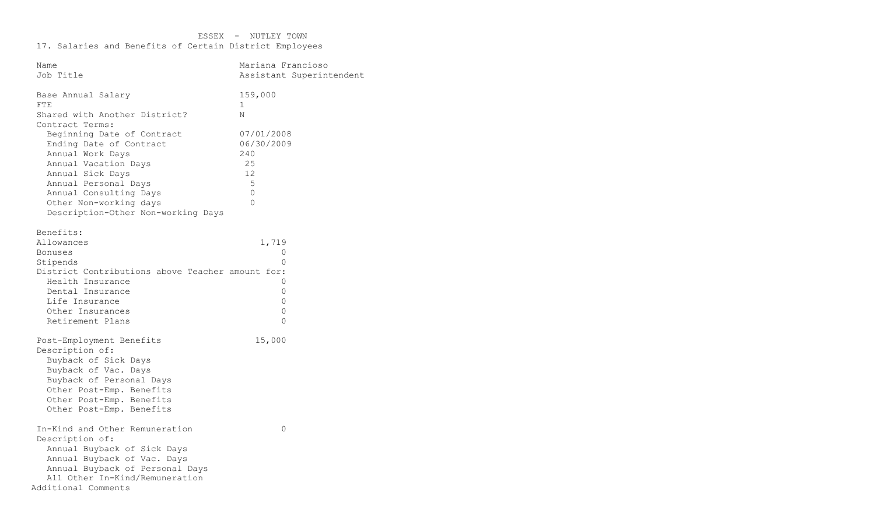| Name                                                                                                                                                                                                                                                                                                                            | Mariana Francioso                                                                                           |
|---------------------------------------------------------------------------------------------------------------------------------------------------------------------------------------------------------------------------------------------------------------------------------------------------------------------------------|-------------------------------------------------------------------------------------------------------------|
| Job Title                                                                                                                                                                                                                                                                                                                       | Assistant Superintendent                                                                                    |
| Base Annual Salary<br><b>FTE</b><br>Shared with Another District?<br>Contract Terms:<br>Beginning Date of Contract<br>Ending Date of Contract<br>Annual Work Days<br>Annual Vacation Days<br>Annual Sick Days<br>Annual Personal Days<br>Annual Consulting Days<br>Other Non-working days<br>Description-Other Non-working Days | 159,000<br>$\mathbf{1}$<br>Ν<br>07/01/2008<br>06/30/2009<br>240<br>25<br>12<br>5<br>$\mathbf 0$<br>$\Omega$ |
| Benefits:<br>Allowances<br><b>Bonuses</b><br>Stipends<br>District Contributions above Teacher amount for:<br>Health Insurance<br>Dental Insurance<br>Life Insurance<br>Other Insurances<br>Retirement Plans                                                                                                                     | 1,719<br>0<br>$\Omega$<br>0<br>$\mathbf 0$<br>0<br>0<br>$\Omega$                                            |
| Post-Employment Benefits<br>Description of:<br>Buyback of Sick Days<br>Buyback of Vac. Days<br>Buyback of Personal Days<br>Other Post-Emp. Benefits<br>Other Post-Emp. Benefits<br>Other Post-Emp. Benefits                                                                                                                     | 15,000                                                                                                      |
| In-Kind and Other Remuneration<br>Description of:<br>Annual Buyback of Sick Days<br>Annual Buyback of Vac. Days<br>Annual Buyback of Personal Days<br>All Other In-Kind/Remuneration<br>Additional Comments                                                                                                                     | 0                                                                                                           |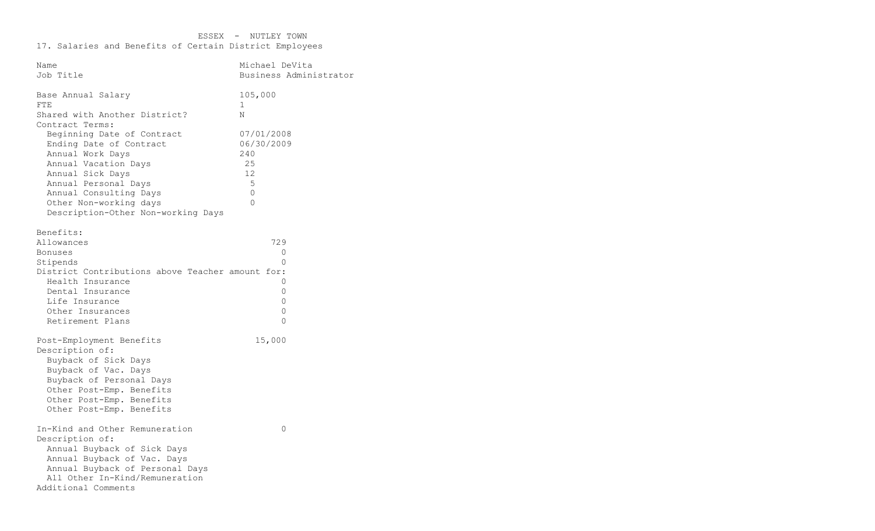| Name                                                                                                                                                                                                                                    | Michael DeVita                                                    |
|-----------------------------------------------------------------------------------------------------------------------------------------------------------------------------------------------------------------------------------------|-------------------------------------------------------------------|
| Job Title                                                                                                                                                                                                                               | Business Administrator                                            |
| Base Annual Salary<br>FTE<br>Shared with Another District?<br>Contract Terms:                                                                                                                                                           | 105,000<br>1<br>Ν                                                 |
| Beginning Date of Contract<br>Ending Date of Contract<br>Annual Work Days<br>Annual Vacation Days<br>Annual Sick Days<br>Annual Personal Days<br>Annual Consulting Days<br>Other Non-working days<br>Description-Other Non-working Days | 07/01/2008<br>06/30/2009<br>240<br>25<br>12<br>5<br>0<br>$\Omega$ |
| Benefits:<br>Allowances<br>Bonuses<br>Stipends<br>District Contributions above Teacher amount for:<br>Health Insurance<br>Dental Insurance<br>Life Insurance<br>Other Insurances<br>Retirement Plans                                    | 729<br>0<br>$\Omega$<br>0<br>0<br>0<br>$\mathbf 0$<br>$\Omega$    |
| Post-Employment Benefits<br>Description of:<br>Buyback of Sick Days<br>Buyback of Vac. Days<br>Buyback of Personal Days<br>Other Post-Emp. Benefits<br>Other Post-Emp. Benefits<br>Other Post-Emp. Benefits                             | 15,000                                                            |
| In-Kind and Other Remuneration<br>Description of:<br>Annual Buyback of Sick Days<br>Annual Buyback of Vac. Days<br>Annual Buyback of Personal Days<br>All Other In-Kind/Remuneration<br>Additional Comments                             | 0                                                                 |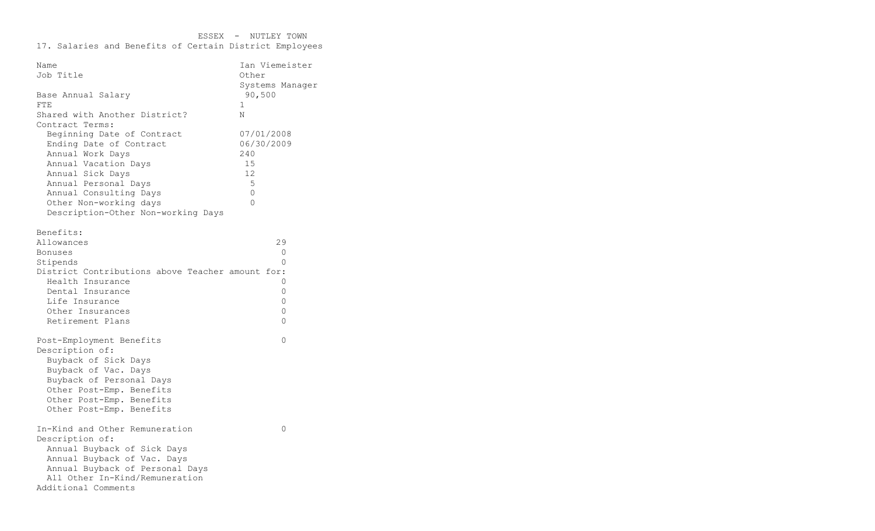| Name                                             | Ian Viemeister  |
|--------------------------------------------------|-----------------|
| Job Title                                        | Other           |
|                                                  | Systems Manager |
| Base Annual Salary                               | 90,500          |
| FTE                                              | $\mathbf 1$     |
| Shared with Another District?                    | N               |
| Contract Terms:                                  |                 |
| Beginning Date of Contract                       | 07/01/2008      |
| Ending Date of Contract                          | 06/30/2009      |
| Annual Work Days                                 | 240             |
| Annual Vacation Days                             | 15              |
| Annual Sick Days                                 | 12              |
| Annual Personal Days                             | 5               |
| Annual Consulting Days                           | $\circ$         |
| Other Non-working days                           | $\Omega$        |
| Description-Other Non-working Days               |                 |
|                                                  |                 |
| Benefits:                                        |                 |
| Allowances                                       | 29              |
| Bonuses                                          | $\Omega$        |
| Stipends                                         | $\Omega$        |
| District Contributions above Teacher amount for: |                 |
| Health Insurance                                 | 0               |
| Dental Insurance                                 | 0               |
| Life Insurance                                   | 0               |
| Other Insurances                                 | $\Omega$        |
| Retirement Plans                                 | $\Omega$        |
|                                                  |                 |
| Post-Employment Benefits                         | $\Omega$        |
| Description of:                                  |                 |
| Buyback of Sick Days                             |                 |
| Buyback of Vac. Days                             |                 |
| Buyback of Personal Days                         |                 |
| Other Post-Emp. Benefits                         |                 |
| Other Post-Emp. Benefits                         |                 |
| Other Post-Emp. Benefits                         |                 |
|                                                  |                 |
| In-Kind and Other Remuneration                   | 0               |
| Description of:                                  |                 |
| Annual Buyback of Sick Days                      |                 |
| Annual Buyback of Vac. Days                      |                 |
| Annual Buyback of Personal Days                  |                 |
| All Other In-Kind/Remuneration                   |                 |
| Additional Comments                              |                 |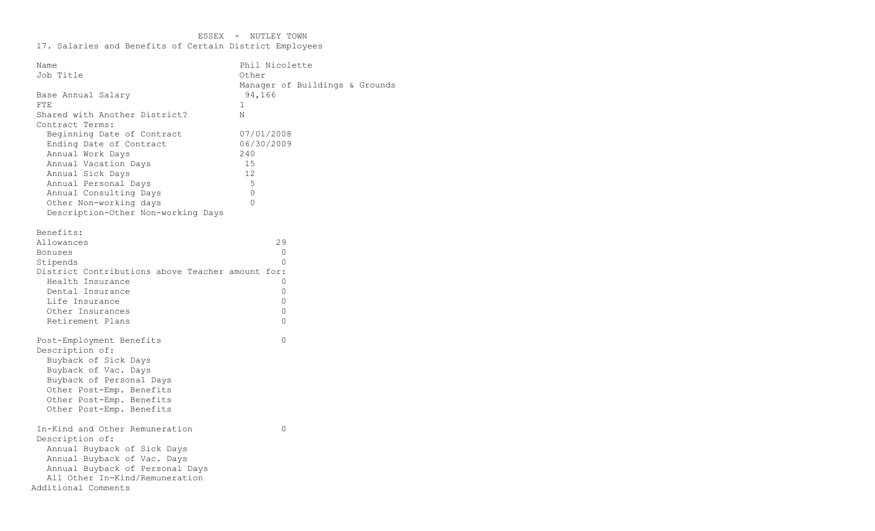| Name                                             | Phil Nicolette |                                |  |
|--------------------------------------------------|----------------|--------------------------------|--|
| Job Title                                        | Other          |                                |  |
|                                                  |                | Manager of Buildings & Grounds |  |
| Base Annual Salary                               | 94,166         |                                |  |
| FTE                                              | 1              |                                |  |
| Shared with Another District?                    | N              |                                |  |
| Contract Terms:                                  |                |                                |  |
| Beginning Date of Contract                       | 07/01/2008     |                                |  |
| Ending Date of Contract                          | 06/30/2009     |                                |  |
| Annual Work Days                                 | 240            |                                |  |
| Annual Vacation Days                             | 15             |                                |  |
| Annual Sick Days                                 | 12             |                                |  |
| Annual Personal Days                             | 5              |                                |  |
| Annual Consulting Days                           | $\mathbf 0$    |                                |  |
| Other Non-working days                           | $\Omega$       |                                |  |
| Description-Other Non-working Days               |                |                                |  |
|                                                  |                |                                |  |
| Benefits:                                        |                |                                |  |
| Allowances                                       | 29             |                                |  |
| <b>Bonuses</b>                                   | $\circ$        |                                |  |
| Stipends                                         | $\Omega$       |                                |  |
| District Contributions above Teacher amount for: |                |                                |  |
| Health Insurance                                 | 0              |                                |  |
| Dental Insurance                                 | 0              |                                |  |
| Life Insurance                                   | $\mathbf{0}$   |                                |  |
| Other Insurances                                 | $\mathbf 0$    |                                |  |
| Retirement Plans                                 | $\Omega$       |                                |  |
|                                                  |                |                                |  |
| Post-Employment Benefits                         | $\Omega$       |                                |  |
| Description of:                                  |                |                                |  |
| Buyback of Sick Days                             |                |                                |  |
| Buyback of Vac. Days                             |                |                                |  |
| Buyback of Personal Days                         |                |                                |  |
| Other Post-Emp. Benefits                         |                |                                |  |
| Other Post-Emp. Benefits                         |                |                                |  |
| Other Post-Emp. Benefits                         |                |                                |  |
|                                                  |                |                                |  |
| In-Kind and Other Remuneration                   | 0              |                                |  |
| Description of:                                  |                |                                |  |
| Annual Buyback of Sick Days                      |                |                                |  |
| Annual Buyback of Vac. Days                      |                |                                |  |
| Annual Buyback of Personal Days                  |                |                                |  |
| All Other In-Kind/Remuneration                   |                |                                |  |
| Additional Comments                              |                |                                |  |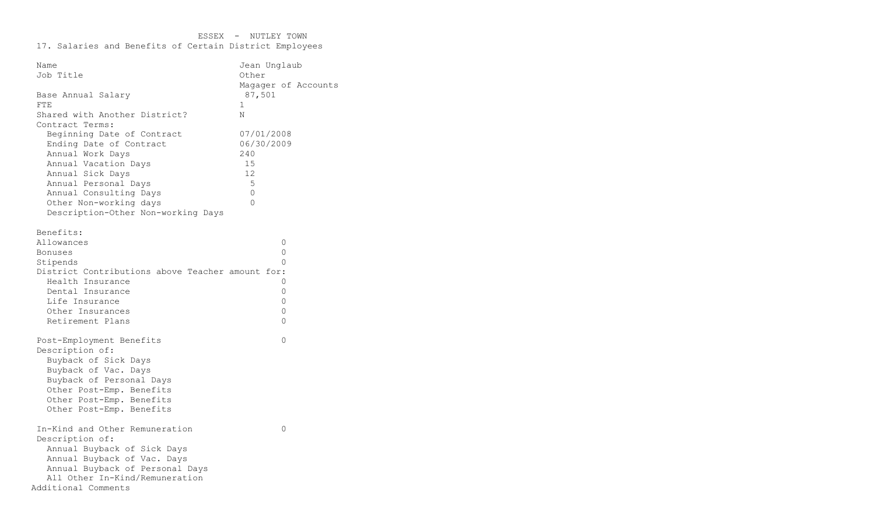| Name                                                              | Jean Unglaub                 |  |
|-------------------------------------------------------------------|------------------------------|--|
| Job Title                                                         | Other<br>Magager of Accounts |  |
| Base Annual Salary<br><b>FTE</b><br>Shared with Another District? | 87,501<br>$\mathbf{1}$<br>N  |  |
| Contract Terms:                                                   |                              |  |
| Beginning Date of Contract                                        | 07/01/2008                   |  |
| Ending Date of Contract                                           | 06/30/2009                   |  |
| Annual Work Days                                                  | 240                          |  |
| Annual Vacation Days                                              | 15                           |  |
| Annual Sick Days                                                  | 12<br>5                      |  |
| Annual Personal Days<br>Annual Consulting Days                    | $\circ$                      |  |
| Other Non-working days                                            | $\Omega$                     |  |
| Description-Other Non-working Days                                |                              |  |
|                                                                   |                              |  |
| Benefits:                                                         |                              |  |
| Allowances                                                        | 0                            |  |
| Bonuses                                                           | 0                            |  |
| Stipends                                                          | 0                            |  |
| District Contributions above Teacher amount for:                  |                              |  |
| Health Insurance                                                  | 0                            |  |
| Dental Insurance                                                  | 0                            |  |
| Life Insurance                                                    | $\mathbf 0$                  |  |
| Other Insurances                                                  | 0                            |  |
| Retirement Plans                                                  | 0                            |  |
| Post-Employment Benefits                                          | $\mathbf 0$                  |  |
| Description of:                                                   |                              |  |
| Buyback of Sick Days                                              |                              |  |
| Buyback of Vac. Days                                              |                              |  |
| Buyback of Personal Days                                          |                              |  |
| Other Post-Emp. Benefits                                          |                              |  |
| Other Post-Emp. Benefits                                          |                              |  |
| Other Post-Emp. Benefits                                          |                              |  |
| In-Kind and Other Remuneration                                    | 0                            |  |
| Description of:                                                   |                              |  |
| Annual Buyback of Sick Days                                       |                              |  |
| Annual Buyback of Vac. Days                                       |                              |  |
| Annual Buyback of Personal Days                                   |                              |  |
| All Other In-Kind/Remuneration                                    |                              |  |
| Additional Comments                                               |                              |  |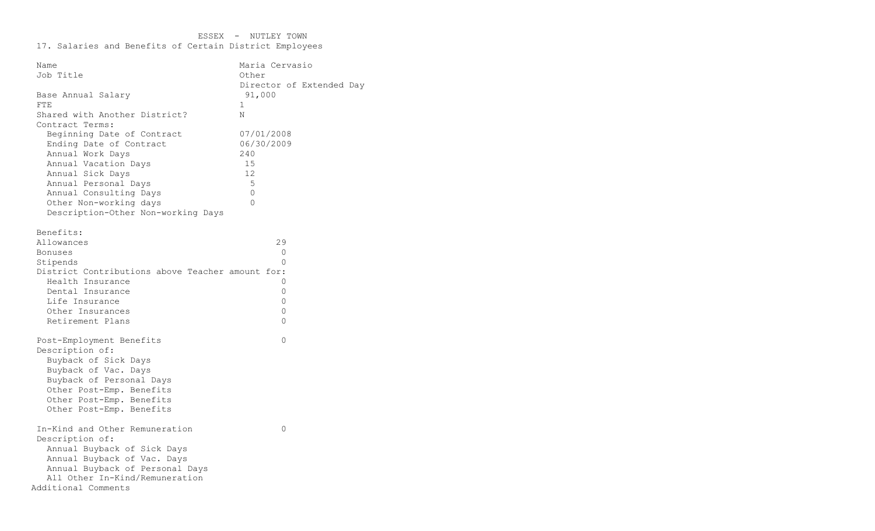| Name                                             | Maria Cervasio           |
|--------------------------------------------------|--------------------------|
| Job Title                                        | Other                    |
|                                                  | Director of Extended Day |
| Base Annual Salary                               | 91,000                   |
| FTE                                              | $\mathbf{1}$             |
| Shared with Another District?                    | Ν                        |
| Contract Terms:                                  |                          |
| Beginning Date of Contract                       | 07/01/2008               |
| Ending Date of Contract                          | 06/30/2009               |
| Annual Work Days                                 | 240                      |
| Annual Vacation Days                             | 15                       |
| Annual Sick Days                                 | 12                       |
| Annual Personal Days                             | 5                        |
| Annual Consulting Days                           | $\mathbf 0$              |
| Other Non-working days                           | $\Omega$                 |
| Description-Other Non-working Days               |                          |
|                                                  |                          |
| Benefits:                                        | 29                       |
| Allowances                                       | 0                        |
| <b>Bonuses</b><br>Stipends                       | $\Omega$                 |
| District Contributions above Teacher amount for: |                          |
| Health Insurance                                 | 0                        |
| Dental Insurance                                 | 0                        |
| Life Insurance                                   | 0                        |
| Other Insurances                                 | $\Omega$                 |
| Retirement Plans                                 | $\Omega$                 |
|                                                  |                          |
| Post-Employment Benefits                         | $\Omega$                 |
| Description of:                                  |                          |
| Buyback of Sick Days                             |                          |
| Buyback of Vac. Days                             |                          |
| Buyback of Personal Days                         |                          |
| Other Post-Emp. Benefits                         |                          |
| Other Post-Emp. Benefits                         |                          |
| Other Post-Emp. Benefits                         |                          |
|                                                  |                          |
| In-Kind and Other Remuneration                   | $\Omega$                 |
| Description of:                                  |                          |
| Annual Buyback of Sick Days                      |                          |
| Annual Buyback of Vac. Days                      |                          |
| Annual Buyback of Personal Days                  |                          |
| All Other In-Kind/Remuneration                   |                          |
| Additional Comments                              |                          |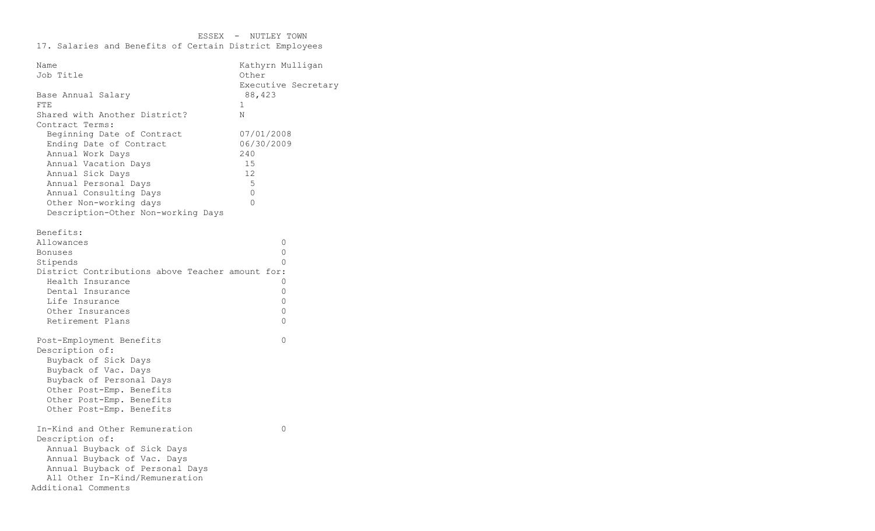| Name                                                         | Kathyrn Mulligan    |
|--------------------------------------------------------------|---------------------|
| Job Title                                                    | Other               |
|                                                              | Executive Secretary |
| Base Annual Salary                                           | 88,423              |
| FTE                                                          | 1                   |
| Shared with Another District?                                | N                   |
| Contract Terms:                                              |                     |
| Beginning Date of Contract                                   | 07/01/2008          |
| Ending Date of Contract                                      | 06/30/2009          |
| Annual Work Days                                             | 240                 |
| Annual Vacation Days                                         | 15                  |
| Annual Sick Days                                             | 12                  |
| Annual Personal Days                                         | 5                   |
| Annual Consulting Days                                       | $\circ$             |
| Other Non-working days                                       | $\Omega$            |
| Description-Other Non-working Days                           |                     |
|                                                              |                     |
| Benefits:                                                    |                     |
| Allowances                                                   | 0<br>$\mathbf 0$    |
| Bonuses                                                      | $\Omega$            |
| Stipends<br>District Contributions above Teacher amount for: |                     |
| Health Insurance                                             | 0                   |
| Dental Insurance                                             | 0                   |
| Life Insurance                                               | $\mathbf 0$         |
| Other Insurances                                             | 0                   |
| Retirement Plans                                             | $\Omega$            |
|                                                              |                     |
| Post-Employment Benefits                                     | $\mathbf 0$         |
| Description of:                                              |                     |
| Buyback of Sick Days                                         |                     |
| Buyback of Vac. Days                                         |                     |
| Buyback of Personal Days                                     |                     |
| Other Post-Emp. Benefits                                     |                     |
| Other Post-Emp. Benefits                                     |                     |
| Other Post-Emp. Benefits                                     |                     |
|                                                              |                     |
| In-Kind and Other Remuneration                               | 0                   |
| Description of:                                              |                     |
| Annual Buyback of Sick Days                                  |                     |
| Annual Buyback of Vac. Days                                  |                     |
| Annual Buyback of Personal Days                              |                     |
| All Other In-Kind/Remuneration                               |                     |
| Additional Comments                                          |                     |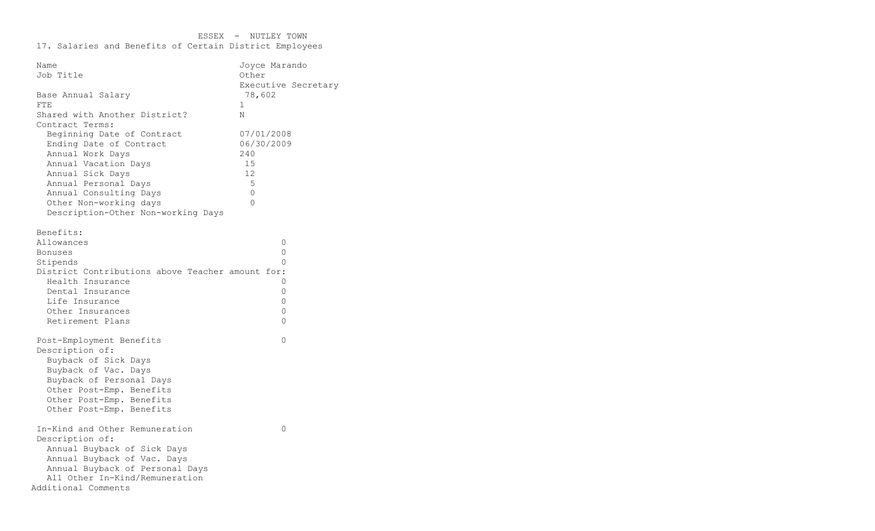| Name                                             | Joyce Marando       |  |
|--------------------------------------------------|---------------------|--|
| Job Title                                        | Other               |  |
|                                                  | Executive Secretary |  |
| Base Annual Salary                               | 78,602              |  |
| <b>FTE</b>                                       | $\mathbf{1}$        |  |
| Shared with Another District?                    | N                   |  |
| Contract Terms:                                  |                     |  |
| Beginning Date of Contract                       | 07/01/2008          |  |
| Ending Date of Contract                          | 06/30/2009          |  |
| Annual Work Days                                 | 240                 |  |
| Annual Vacation Days                             | 15                  |  |
| Annual Sick Days                                 | 12                  |  |
| Annual Personal Days                             | 5                   |  |
| Annual Consulting Days                           | $\circ$             |  |
| Other Non-working days                           | $\Omega$            |  |
| Description-Other Non-working Days               |                     |  |
|                                                  |                     |  |
| Benefits:                                        |                     |  |
| Allowances                                       | 0                   |  |
| Bonuses                                          | 0                   |  |
| Stipends                                         | 0                   |  |
| District Contributions above Teacher amount for: |                     |  |
| Health Insurance                                 | 0                   |  |
| Dental Insurance                                 | 0                   |  |
| Life Insurance                                   | $\mathbf 0$         |  |
| Other Insurances                                 | 0                   |  |
| Retirement Plans                                 | 0                   |  |
| Post-Employment Benefits                         | $\mathbf 0$         |  |
| Description of:                                  |                     |  |
| Buyback of Sick Days                             |                     |  |
| Buyback of Vac. Days                             |                     |  |
| Buyback of Personal Days                         |                     |  |
| Other Post-Emp. Benefits                         |                     |  |
| Other Post-Emp. Benefits                         |                     |  |
| Other Post-Emp. Benefits                         |                     |  |
|                                                  |                     |  |
| In-Kind and Other Remuneration                   | 0                   |  |
| Description of:                                  |                     |  |
| Annual Buyback of Sick Days                      |                     |  |
| Annual Buyback of Vac. Days                      |                     |  |
| Annual Buyback of Personal Days                  |                     |  |
| All Other In-Kind/Remuneration                   |                     |  |
| Additional Comments                              |                     |  |
|                                                  |                     |  |